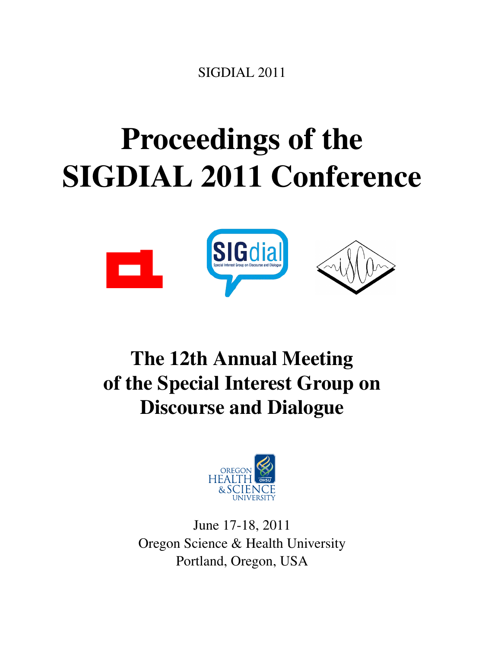SIGDIAL 2011

# <span id="page-0-0"></span>Proceedings of the SIGDIAL 2011 Conference



# The 12th Annual Meeting of the Special Interest Group on Discourse and Dialogue



June 17-18, 2011 Oregon Science & Health University Portland, Oregon, USA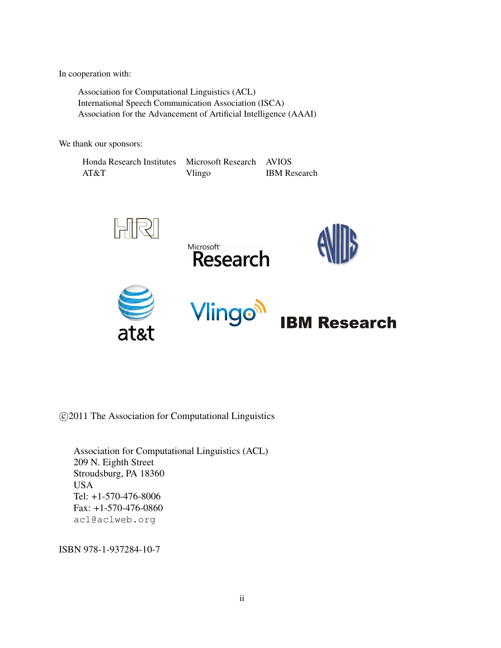In cooperation with:

Association for Computational Linguistics (ACL) International Speech Communication Association (ISCA) Association for the Advancement of Artificial Intelligence (AAAI)

We thank our sponsors:

| Honda Research Institutes | Microsoft Research AVIOS |                     |
|---------------------------|--------------------------|---------------------|
| AT&T                      | Vlingo                   | <b>IBM</b> Research |



c 2011 The Association for Computational Linguistics

Association for Computational Linguistics (ACL) 209 N. Eighth Street Stroudsburg, PA 18360 USA Tel: +1-570-476-8006 Fax: +1-570-476-0860 acl@aclweb.org

ISBN 978-1-937284-10-7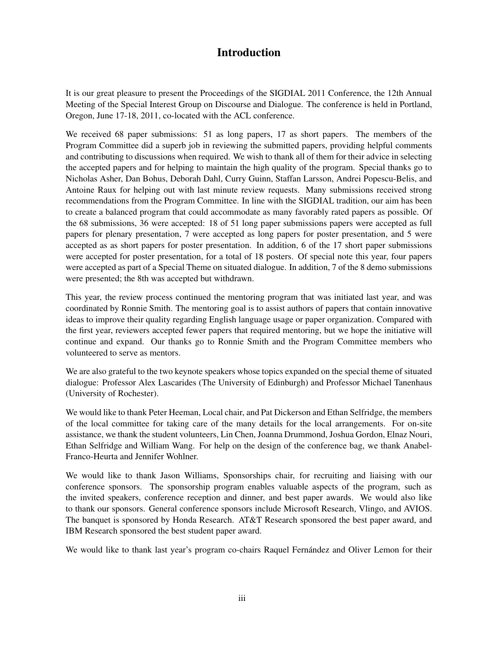# Introduction

It is our great pleasure to present the Proceedings of the SIGDIAL 2011 Conference, the 12th Annual Meeting of the Special Interest Group on Discourse and Dialogue. The conference is held in Portland, Oregon, June 17-18, 2011, co-located with the ACL conference.

We received 68 paper submissions: 51 as long papers, 17 as short papers. The members of the Program Committee did a superb job in reviewing the submitted papers, providing helpful comments and contributing to discussions when required. We wish to thank all of them for their advice in selecting the accepted papers and for helping to maintain the high quality of the program. Special thanks go to Nicholas Asher, Dan Bohus, Deborah Dahl, Curry Guinn, Staffan Larsson, Andrei Popescu-Belis, and Antoine Raux for helping out with last minute review requests. Many submissions received strong recommendations from the Program Committee. In line with the SIGDIAL tradition, our aim has been to create a balanced program that could accommodate as many favorably rated papers as possible. Of the 68 submissions, 36 were accepted: 18 of 51 long paper submissions papers were accepted as full papers for plenary presentation, 7 were accepted as long papers for poster presentation, and 5 were accepted as as short papers for poster presentation. In addition, 6 of the 17 short paper submissions were accepted for poster presentation, for a total of 18 posters. Of special note this year, four papers were accepted as part of a Special Theme on situated dialogue. In addition, 7 of the 8 demo submissions were presented; the 8th was accepted but withdrawn.

This year, the review process continued the mentoring program that was initiated last year, and was coordinated by Ronnie Smith. The mentoring goal is to assist authors of papers that contain innovative ideas to improve their quality regarding English language usage or paper organization. Compared with the first year, reviewers accepted fewer papers that required mentoring, but we hope the initiative will continue and expand. Our thanks go to Ronnie Smith and the Program Committee members who volunteered to serve as mentors.

We are also grateful to the two keynote speakers whose topics expanded on the special theme of situated dialogue: Professor Alex Lascarides (The University of Edinburgh) and Professor Michael Tanenhaus (University of Rochester).

We would like to thank Peter Heeman, Local chair, and Pat Dickerson and Ethan Selfridge, the members of the local committee for taking care of the many details for the local arrangements. For on-site assistance, we thank the student volunteers, Lin Chen, Joanna Drummond, Joshua Gordon, Elnaz Nouri, Ethan Selfridge and William Wang. For help on the design of the conference bag, we thank Anabel-Franco-Heurta and Jennifer Wohlner.

We would like to thank Jason Williams, Sponsorships chair, for recruiting and liaising with our conference sponsors. The sponsorship program enables valuable aspects of the program, such as the invited speakers, conference reception and dinner, and best paper awards. We would also like to thank our sponsors. General conference sponsors include Microsoft Research, Vlingo, and AVIOS. The banquet is sponsored by Honda Research. AT&T Research sponsored the best paper award, and IBM Research sponsored the best student paper award.

We would like to thank last year's program co-chairs Raquel Fernandez and Oliver Lemon for their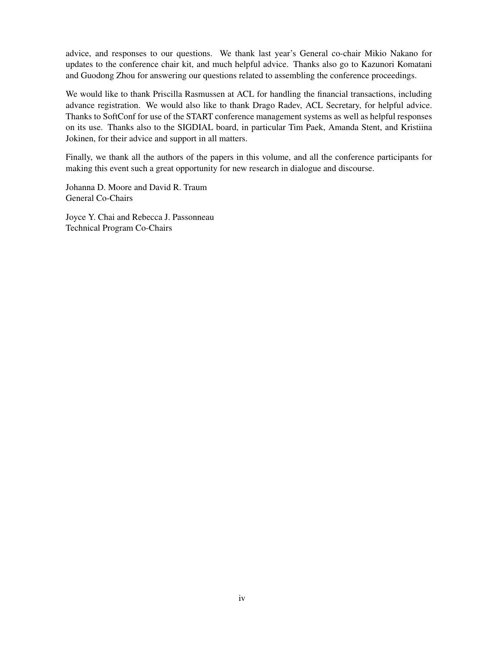advice, and responses to our questions. We thank last year's General co-chair Mikio Nakano for updates to the conference chair kit, and much helpful advice. Thanks also go to Kazunori Komatani and Guodong Zhou for answering our questions related to assembling the conference proceedings.

We would like to thank Priscilla Rasmussen at ACL for handling the financial transactions, including advance registration. We would also like to thank Drago Radev, ACL Secretary, for helpful advice. Thanks to SoftConf for use of the START conference management systems as well as helpful responses on its use. Thanks also to the SIGDIAL board, in particular Tim Paek, Amanda Stent, and Kristiina Jokinen, for their advice and support in all matters.

Finally, we thank all the authors of the papers in this volume, and all the conference participants for making this event such a great opportunity for new research in dialogue and discourse.

Johanna D. Moore and David R. Traum General Co-Chairs

Joyce Y. Chai and Rebecca J. Passonneau Technical Program Co-Chairs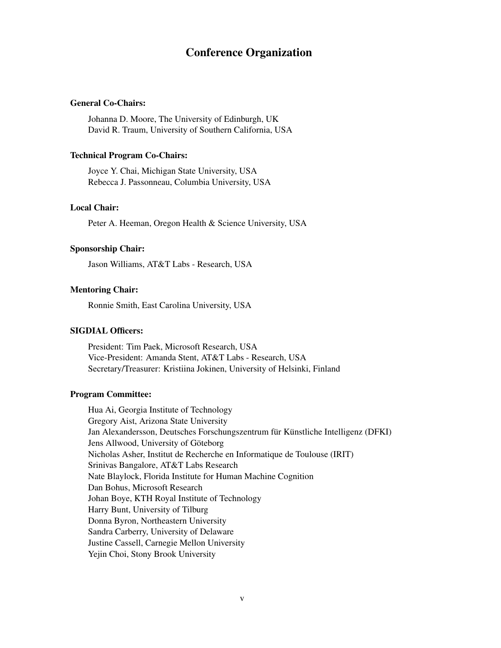# Conference Organization

# General Co-Chairs:

Johanna D. Moore, The University of Edinburgh, UK David R. Traum, University of Southern California, USA

#### Technical Program Co-Chairs:

Joyce Y. Chai, Michigan State University, USA Rebecca J. Passonneau, Columbia University, USA

# Local Chair:

Peter A. Heeman, Oregon Health & Science University, USA

# Sponsorship Chair:

Jason Williams, AT&T Labs - Research, USA

# Mentoring Chair:

Ronnie Smith, East Carolina University, USA

# SIGDIAL Officers:

President: Tim Paek, Microsoft Research, USA Vice-President: Amanda Stent, AT&T Labs - Research, USA Secretary/Treasurer: Kristiina Jokinen, University of Helsinki, Finland

# Program Committee:

Hua Ai, Georgia Institute of Technology Gregory Aist, Arizona State University Jan Alexandersson, Deutsches Forschungszentrum für Künstliche Intelligenz (DFKI) Jens Allwood, University of Göteborg Nicholas Asher, Institut de Recherche en Informatique de Toulouse (IRIT) Srinivas Bangalore, AT&T Labs Research Nate Blaylock, Florida Institute for Human Machine Cognition Dan Bohus, Microsoft Research Johan Boye, KTH Royal Institute of Technology Harry Bunt, University of Tilburg Donna Byron, Northeastern University Sandra Carberry, University of Delaware Justine Cassell, Carnegie Mellon University Yejin Choi, Stony Brook University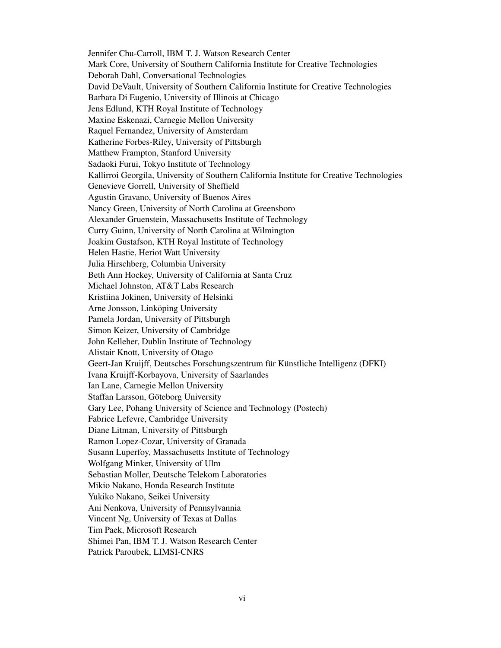Jennifer Chu-Carroll, IBM T. J. Watson Research Center Mark Core, University of Southern California Institute for Creative Technologies Deborah Dahl, Conversational Technologies David DeVault, University of Southern California Institute for Creative Technologies Barbara Di Eugenio, University of Illinois at Chicago Jens Edlund, KTH Royal Institute of Technology Maxine Eskenazi, Carnegie Mellon University Raquel Fernandez, University of Amsterdam Katherine Forbes-Riley, University of Pittsburgh Matthew Frampton, Stanford University Sadaoki Furui, Tokyo Institute of Technology Kallirroi Georgila, University of Southern California Institute for Creative Technologies Genevieve Gorrell, University of Sheffield Agustin Gravano, University of Buenos Aires Nancy Green, University of North Carolina at Greensboro Alexander Gruenstein, Massachusetts Institute of Technology Curry Guinn, University of North Carolina at Wilmington Joakim Gustafson, KTH Royal Institute of Technology Helen Hastie, Heriot Watt University Julia Hirschberg, Columbia University Beth Ann Hockey, University of California at Santa Cruz Michael Johnston, AT&T Labs Research Kristiina Jokinen, University of Helsinki Arne Jonsson, Linköping University Pamela Jordan, University of Pittsburgh Simon Keizer, University of Cambridge John Kelleher, Dublin Institute of Technology Alistair Knott, University of Otago Geert-Jan Kruijff, Deutsches Forschungszentrum für Künstliche Intelligenz (DFKI) Ivana Kruijff-Korbayova, University of Saarlandes Ian Lane, Carnegie Mellon University Staffan Larsson, Göteborg University Gary Lee, Pohang University of Science and Technology (Postech) Fabrice Lefevre, Cambridge University Diane Litman, University of Pittsburgh Ramon Lopez-Cozar, University of Granada Susann Luperfoy, Massachusetts Institute of Technology Wolfgang Minker, University of Ulm Sebastian Moller, Deutsche Telekom Laboratories Mikio Nakano, Honda Research Institute Yukiko Nakano, Seikei University Ani Nenkova, University of Pennsylvannia Vincent Ng, University of Texas at Dallas Tim Paek, Microsoft Research Shimei Pan, IBM T. J. Watson Research Center Patrick Paroubek, LIMSI-CNRS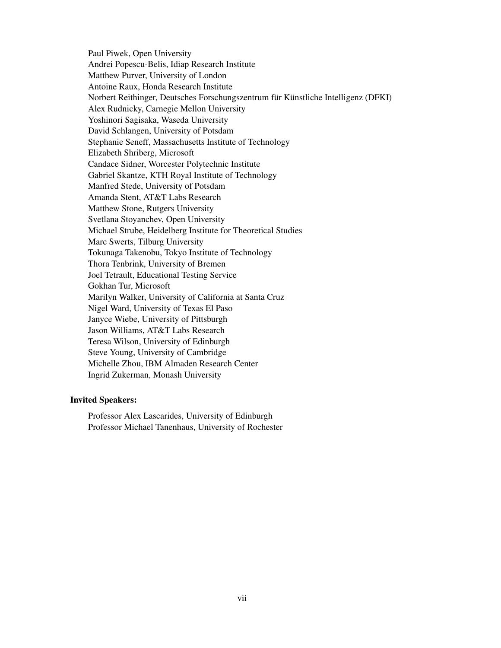Paul Piwek, Open University Andrei Popescu-Belis, Idiap Research Institute Matthew Purver, University of London Antoine Raux, Honda Research Institute Norbert Reithinger, Deutsches Forschungszentrum für Künstliche Intelligenz (DFKI) Alex Rudnicky, Carnegie Mellon University Yoshinori Sagisaka, Waseda University David Schlangen, University of Potsdam Stephanie Seneff, Massachusetts Institute of Technology Elizabeth Shriberg, Microsoft Candace Sidner, Worcester Polytechnic Institute Gabriel Skantze, KTH Royal Institute of Technology Manfred Stede, University of Potsdam Amanda Stent, AT&T Labs Research Matthew Stone, Rutgers University Svetlana Stoyanchev, Open University Michael Strube, Heidelberg Institute for Theoretical Studies Marc Swerts, Tilburg University Tokunaga Takenobu, Tokyo Institute of Technology Thora Tenbrink, University of Bremen Joel Tetrault, Educational Testing Service Gokhan Tur, Microsoft Marilyn Walker, University of California at Santa Cruz Nigel Ward, University of Texas El Paso Janyce Wiebe, University of Pittsburgh Jason Williams, AT&T Labs Research Teresa Wilson, University of Edinburgh Steve Young, University of Cambridge Michelle Zhou, IBM Almaden Research Center Ingrid Zukerman, Monash University

# Invited Speakers:

Professor Alex Lascarides, University of Edinburgh Professor Michael Tanenhaus, University of Rochester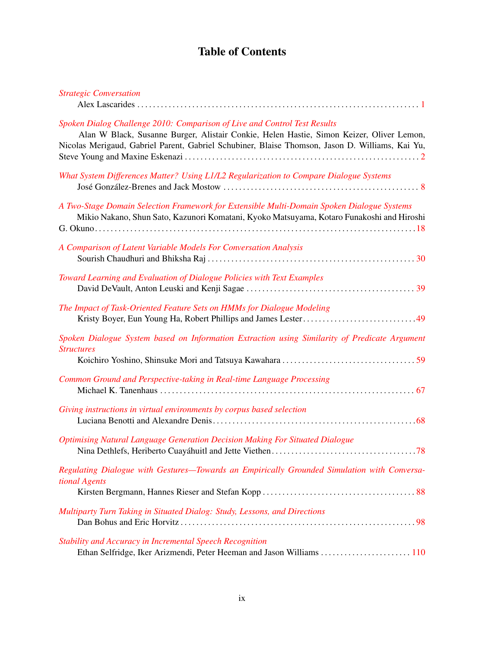# Table of Contents

| <b>Strategic Conversation</b>                                                                                                                                                                                                                                            |
|--------------------------------------------------------------------------------------------------------------------------------------------------------------------------------------------------------------------------------------------------------------------------|
| Spoken Dialog Challenge 2010: Comparison of Live and Control Test Results<br>Alan W Black, Susanne Burger, Alistair Conkie, Helen Hastie, Simon Keizer, Oliver Lemon,<br>Nicolas Merigaud, Gabriel Parent, Gabriel Schubiner, Blaise Thomson, Jason D. Williams, Kai Yu, |
| What System Differences Matter? Using L1/L2 Regularization to Compare Dialogue Systems                                                                                                                                                                                   |
| A Two-Stage Domain Selection Framework for Extensible Multi-Domain Spoken Dialogue Systems<br>Mikio Nakano, Shun Sato, Kazunori Komatani, Kyoko Matsuyama, Kotaro Funakoshi and Hiroshi                                                                                  |
| A Comparison of Latent Variable Models For Conversation Analysis                                                                                                                                                                                                         |
| Toward Learning and Evaluation of Dialogue Policies with Text Examples                                                                                                                                                                                                   |
| The Impact of Task-Oriented Feature Sets on HMMs for Dialogue Modeling<br>Kristy Boyer, Eun Young Ha, Robert Phillips and James Lester49                                                                                                                                 |
| Spoken Dialogue System based on Information Extraction using Similarity of Predicate Argument<br><b>Structures</b>                                                                                                                                                       |
| Common Ground and Perspective-taking in Real-time Language Processing                                                                                                                                                                                                    |
| Giving instructions in virtual environments by corpus based selection                                                                                                                                                                                                    |
| Optimising Natural Language Generation Decision Making For Situated Dialogue                                                                                                                                                                                             |
| Regulating Dialogue with Gestures-Towards an Empirically Grounded Simulation with Conversa-<br>tional Agents                                                                                                                                                             |
| Multiparty Turn Taking in Situated Dialog: Study, Lessons, and Directions                                                                                                                                                                                                |
| Stability and Accuracy in Incremental Speech Recognition<br>Ethan Selfridge, Iker Arizmendi, Peter Heeman and Jason Williams  110                                                                                                                                        |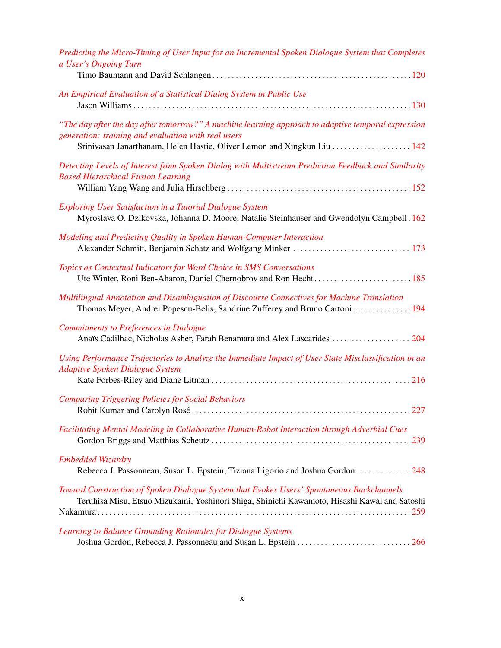| Predicting the Micro-Timing of User Input for an Incremental Spoken Dialogue System that Completes<br>a User's Ongoing Turn                                                                                                           |
|---------------------------------------------------------------------------------------------------------------------------------------------------------------------------------------------------------------------------------------|
| An Empirical Evaluation of a Statistical Dialog System in Public Use                                                                                                                                                                  |
| "The day after the day after tomorrow?" A machine learning approach to adaptive temporal expression<br>generation: training and evaluation with real users<br>Srinivasan Janarthanam, Helen Hastie, Oliver Lemon and Xingkun Liu  142 |
| Detecting Levels of Interest from Spoken Dialog with Multistream Prediction Feedback and Similarity<br><b>Based Hierarchical Fusion Learning</b>                                                                                      |
| Exploring User Satisfaction in a Tutorial Dialogue System<br>Myroslava O. Dzikovska, Johanna D. Moore, Natalie Steinhauser and Gwendolyn Campbell. 162                                                                                |
| Modeling and Predicting Quality in Spoken Human-Computer Interaction                                                                                                                                                                  |
| Topics as Contextual Indicators for Word Choice in SMS Conversations<br>Ute Winter, Roni Ben-Aharon, Daniel Chernobrov and Ron Hecht185                                                                                               |
| Multilingual Annotation and Disambiguation of Discourse Connectives for Machine Translation<br>Thomas Meyer, Andrei Popescu-Belis, Sandrine Zufferey and Bruno Cartoni  194                                                           |
| <b>Commitments to Preferences in Dialogue</b><br>Anaïs Cadilhac, Nicholas Asher, Farah Benamara and Alex Lascarides  204                                                                                                              |
| Using Performance Trajectories to Analyze the Immediate Impact of User State Misclassification in an<br><b>Adaptive Spoken Dialogue System</b>                                                                                        |
| <b>Comparing Triggering Policies for Social Behaviors</b>                                                                                                                                                                             |
| Facilitating Mental Modeling in Collaborative Human-Robot Interaction through Adverbial Cues                                                                                                                                          |
| <b>Embedded Wizardry</b><br>Rebecca J. Passonneau, Susan L. Epstein, Tiziana Ligorio and Joshua Gordon 248                                                                                                                            |
| Toward Construction of Spoken Dialogue System that Evokes Users' Spontaneous Backchannels<br>Teruhisa Misu, Etsuo Mizukami, Yoshinori Shiga, Shinichi Kawamoto, Hisashi Kawai and Satoshi                                             |
| Learning to Balance Grounding Rationales for Dialogue Systems                                                                                                                                                                         |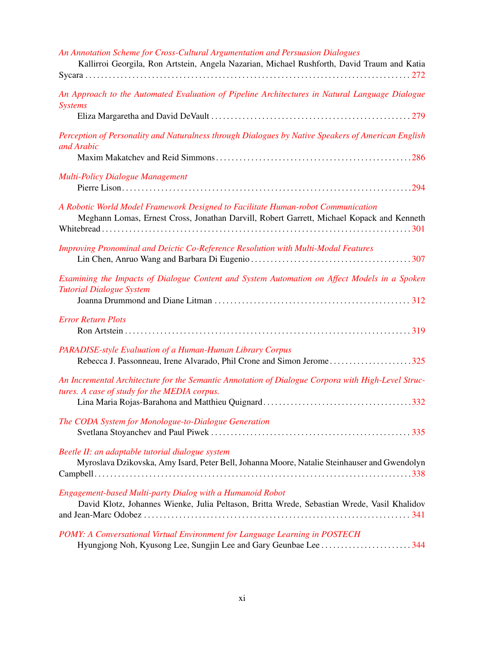| An Annotation Scheme for Cross-Cultural Argumentation and Persuasion Dialogues<br>Kallirroi Georgila, Ron Artstein, Angela Nazarian, Michael Rushforth, David Traum and Katia |
|-------------------------------------------------------------------------------------------------------------------------------------------------------------------------------|
|                                                                                                                                                                               |
| An Approach to the Automated Evaluation of Pipeline Architectures in Natural Language Dialogue<br><b>Systems</b>                                                              |
| Perception of Personality and Naturalness through Dialogues by Native Speakers of American English<br>and Arabic                                                              |
| <b>Multi-Policy Dialogue Management</b>                                                                                                                                       |
| A Robotic World Model Framework Designed to Facilitate Human-robot Communication<br>Meghann Lomas, Ernest Cross, Jonathan Darvill, Robert Garrett, Michael Kopack and Kenneth |
| Improving Pronominal and Deictic Co-Reference Resolution with Multi-Modal Features                                                                                            |
| Examining the Impacts of Dialogue Content and System Automation on Affect Models in a Spoken<br><b>Tutorial Dialogue System</b>                                               |
| <b>Error Return Plots</b>                                                                                                                                                     |
| PARADISE-style Evaluation of a Human-Human Library Corpus<br>Rebecca J. Passonneau, Irene Alvarado, Phil Crone and Simon Jerome325                                            |
| An Incremental Architecture for the Semantic Annotation of Dialogue Corpora with High-Level Struc-<br>tures. A case of study for the MEDIA corpus.                            |
| The CODA System for Monologue-to-Dialogue Generation                                                                                                                          |
| Beetle II: an adaptable tutorial dialogue system<br>Myroslava Dzikovska, Amy Isard, Peter Bell, Johanna Moore, Natalie Steinhauser and Gwendolyn                              |
| Engagement-based Multi-party Dialog with a Humanoid Robot<br>David Klotz, Johannes Wienke, Julia Peltason, Britta Wrede, Sebastian Wrede, Vasil Khalidov                      |
| POMY: A Conversational Virtual Environment for Language Learning in POSTECH                                                                                                   |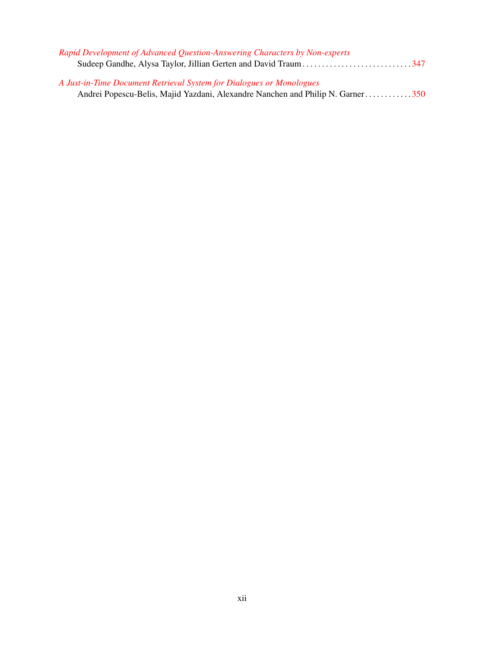| Rapid Development of Advanced Question-Answering Characters by Non-experts     |  |
|--------------------------------------------------------------------------------|--|
|                                                                                |  |
|                                                                                |  |
| A Just-in-Time Document Retrieval System for Dialogues or Monologues           |  |
| Andrei Popescu-Belis, Majid Yazdani, Alexandre Nanchen and Philip N. Garner350 |  |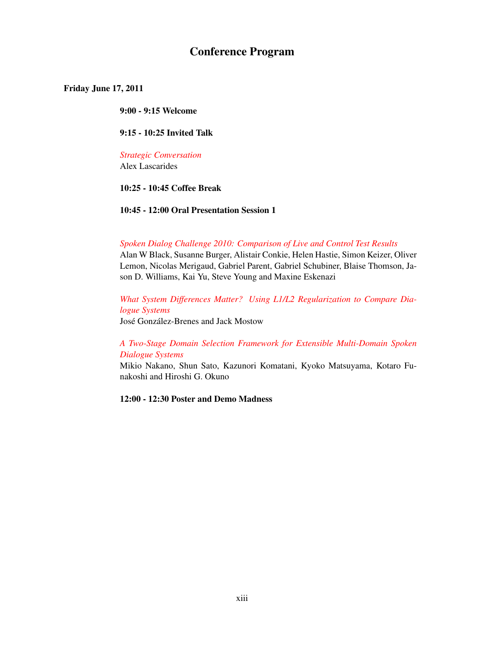# Conference Program

# Friday June 17, 2011

9:00 - 9:15 Welcome

9:15 - 10:25 Invited Talk

*[Strategic Conversation](#page-0-0)* Alex Lascarides

# 10:25 - 10:45 Coffee Break

10:45 - 12:00 Oral Presentation Session 1

# *[Spoken Dialog Challenge 2010: Comparison of Live and Control Test Results](#page-0-0)*

Alan W Black, Susanne Burger, Alistair Conkie, Helen Hastie, Simon Keizer, Oliver Lemon, Nicolas Merigaud, Gabriel Parent, Gabriel Schubiner, Blaise Thomson, Jason D. Williams, Kai Yu, Steve Young and Maxine Eskenazi

# *[What System Differences Matter? Using L1/L2 Regularization to Compare Dia](#page-0-0)[logue Systems](#page-0-0)* José González-Brenes and Jack Mostow

# *[A Two-Stage Domain Selection Framework for Extensible Multi-Domain Spoken](#page-0-0) [Dialogue Systems](#page-0-0)*

Mikio Nakano, Shun Sato, Kazunori Komatani, Kyoko Matsuyama, Kotaro Funakoshi and Hiroshi G. Okuno

12:00 - 12:30 Poster and Demo Madness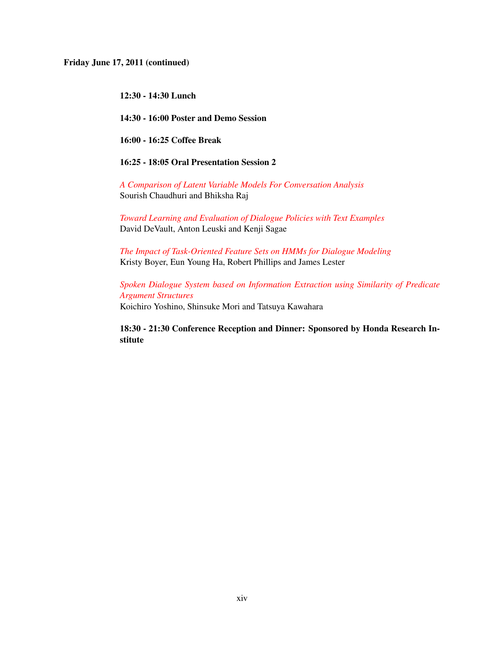Friday June 17, 2011 (continued)

12:30 - 14:30 Lunch

14:30 - 16:00 Poster and Demo Session

16:00 - 16:25 Coffee Break

16:25 - 18:05 Oral Presentation Session 2

*[A Comparison of Latent Variable Models For Conversation Analysis](#page-0-0)* Sourish Chaudhuri and Bhiksha Raj

*[Toward Learning and Evaluation of Dialogue Policies with Text Examples](#page-0-0)* David DeVault, Anton Leuski and Kenji Sagae

*[The Impact of Task-Oriented Feature Sets on HMMs for Dialogue Modeling](#page-0-0)* Kristy Boyer, Eun Young Ha, Robert Phillips and James Lester

*[Spoken Dialogue System based on Information Extraction using Similarity of Predicate](#page-0-0) [Argument Structures](#page-0-0)* Koichiro Yoshino, Shinsuke Mori and Tatsuya Kawahara

18:30 - 21:30 Conference Reception and Dinner: Sponsored by Honda Research Institute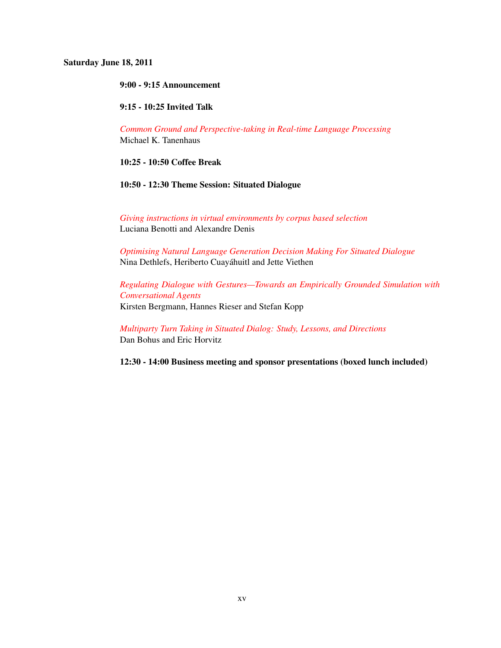## Saturday June 18, 2011

# 9:00 - 9:15 Announcement

# 9:15 - 10:25 Invited Talk

*[Common Ground and Perspective-taking in Real-time Language Processing](#page-0-0)* Michael K. Tanenhaus

# 10:25 - 10:50 Coffee Break

# 10:50 - 12:30 Theme Session: Situated Dialogue

*[Giving instructions in virtual environments by corpus based selection](#page-0-0)* Luciana Benotti and Alexandre Denis

*[Optimising Natural Language Generation Decision Making For Situated Dialogue](#page-0-0)* Nina Dethlefs, Heriberto Cuayahuitl and Jette Viethen ´

*[Regulating Dialogue with Gestures—Towards an Empirically Grounded Simulation with](#page-0-0) [Conversational Agents](#page-0-0)* Kirsten Bergmann, Hannes Rieser and Stefan Kopp

*[Multiparty Turn Taking in Situated Dialog: Study, Lessons, and Directions](#page-0-0)* Dan Bohus and Eric Horvitz

12:30 - 14:00 Business meeting and sponsor presentations (boxed lunch included)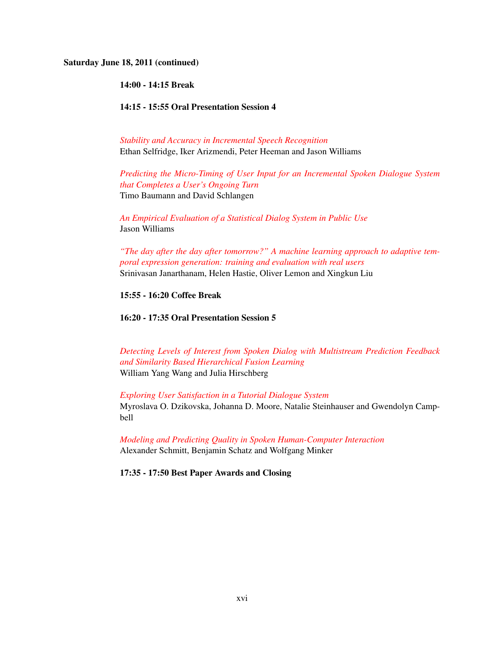#### Saturday June 18, 2011 (continued)

14:00 - 14:15 Break

14:15 - 15:55 Oral Presentation Session 4

*[Stability and Accuracy in Incremental Speech Recognition](#page-0-0)* Ethan Selfridge, Iker Arizmendi, Peter Heeman and Jason Williams

*[Predicting the Micro-Timing of User Input for an Incremental Spoken Dialogue System](#page-0-0) [that Completes a User's Ongoing Turn](#page-0-0)* Timo Baumann and David Schlangen

*[An Empirical Evaluation of a Statistical Dialog System in Public Use](#page-0-0)* Jason Williams

*["The day after the day after tomorrow?" A machine learning approach to adaptive tem](#page-0-0)[poral expression generation: training and evaluation with real users](#page-0-0)* Srinivasan Janarthanam, Helen Hastie, Oliver Lemon and Xingkun Liu

# 15:55 - 16:20 Coffee Break

16:20 - 17:35 Oral Presentation Session 5

*[Detecting Levels of Interest from Spoken Dialog with Multistream Prediction Feedback](#page-0-0) [and Similarity Based Hierarchical Fusion Learning](#page-0-0)* William Yang Wang and Julia Hirschberg

*[Exploring User Satisfaction in a Tutorial Dialogue System](#page-0-0)* Myroslava O. Dzikovska, Johanna D. Moore, Natalie Steinhauser and Gwendolyn Campbell

*[Modeling and Predicting Quality in Spoken Human-Computer Interaction](#page-0-0)* Alexander Schmitt, Benjamin Schatz and Wolfgang Minker

17:35 - 17:50 Best Paper Awards and Closing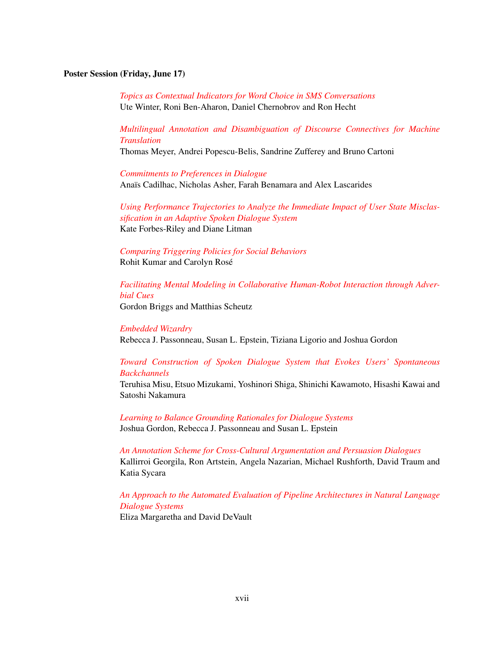# Poster Session (Friday, June 17)

*[Topics as Contextual Indicators for Word Choice in SMS Conversations](#page-0-0)* Ute Winter, Roni Ben-Aharon, Daniel Chernobrov and Ron Hecht

*[Multilingual Annotation and Disambiguation of Discourse Connectives for Machine](#page-0-0) [Translation](#page-0-0)*

Thomas Meyer, Andrei Popescu-Belis, Sandrine Zufferey and Bruno Cartoni

*[Commitments to Preferences in Dialogue](#page-0-0)* Anaïs Cadilhac, Nicholas Asher, Farah Benamara and Alex Lascarides

*[Using Performance Trajectories to Analyze the Immediate Impact of User State Misclas](#page-0-0)[sification in an Adaptive Spoken Dialogue System](#page-0-0)* Kate Forbes-Riley and Diane Litman

*[Comparing Triggering Policies for Social Behaviors](#page-0-0)* Rohit Kumar and Carolyn Rose´

*[Facilitating Mental Modeling in Collaborative Human-Robot Interaction through Adver](#page-0-0)[bial Cues](#page-0-0)*

Gordon Briggs and Matthias Scheutz

#### *[Embedded Wizardry](#page-0-0)*

Rebecca J. Passonneau, Susan L. Epstein, Tiziana Ligorio and Joshua Gordon

# *[Toward Construction of Spoken Dialogue System that Evokes Users' Spontaneous](#page-0-0) [Backchannels](#page-0-0)*

Teruhisa Misu, Etsuo Mizukami, Yoshinori Shiga, Shinichi Kawamoto, Hisashi Kawai and Satoshi Nakamura

*[Learning to Balance Grounding Rationales for Dialogue Systems](#page-0-0)* Joshua Gordon, Rebecca J. Passonneau and Susan L. Epstein

*[An Annotation Scheme for Cross-Cultural Argumentation and Persuasion Dialogues](#page-0-0)* Kallirroi Georgila, Ron Artstein, Angela Nazarian, Michael Rushforth, David Traum and Katia Sycara

*[An Approach to the Automated Evaluation of Pipeline Architectures in Natural Language](#page-0-0) [Dialogue Systems](#page-0-0)*

Eliza Margaretha and David DeVault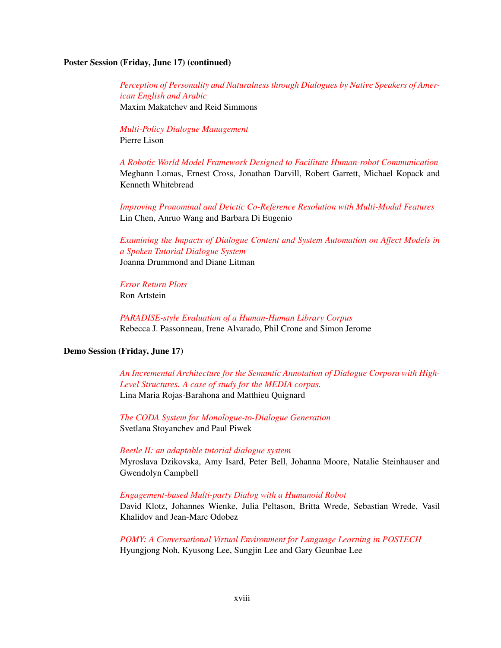# Poster Session (Friday, June 17) (continued)

*[Perception of Personality and Naturalness through Dialogues by Native Speakers of Amer](#page-0-0)[ican English and Arabic](#page-0-0)* Maxim Makatchev and Reid Simmons

*[Multi-Policy Dialogue Management](#page-0-0)* Pierre Lison

*[A Robotic World Model Framework Designed to Facilitate Human-robot Communication](#page-0-0)* Meghann Lomas, Ernest Cross, Jonathan Darvill, Robert Garrett, Michael Kopack and Kenneth Whitebread

*[Improving Pronominal and Deictic Co-Reference Resolution with Multi-Modal Features](#page-0-0)* Lin Chen, Anruo Wang and Barbara Di Eugenio

*[Examining the Impacts of Dialogue Content and System Automation on Affect Models in](#page-0-0) [a Spoken Tutorial Dialogue System](#page-0-0)* Joanna Drummond and Diane Litman

*[Error Return Plots](#page-0-0)* Ron Artstein

*[PARADISE-style Evaluation of a Human-Human Library Corpus](#page-0-0)* Rebecca J. Passonneau, Irene Alvarado, Phil Crone and Simon Jerome

# Demo Session (Friday, June 17)

*[An Incremental Architecture for the Semantic Annotation of Dialogue Corpora with High-](#page-0-0)[Level Structures. A case of study for the MEDIA corpus.](#page-0-0)* Lina Maria Rojas-Barahona and Matthieu Quignard

*[The CODA System for Monologue-to-Dialogue Generation](#page-0-0)* Svetlana Stoyanchev and Paul Piwek

*[Beetle II: an adaptable tutorial dialogue system](#page-0-0)*

Myroslava Dzikovska, Amy Isard, Peter Bell, Johanna Moore, Natalie Steinhauser and Gwendolyn Campbell

#### *[Engagement-based Multi-party Dialog with a Humanoid Robot](#page-0-0)*

David Klotz, Johannes Wienke, Julia Peltason, Britta Wrede, Sebastian Wrede, Vasil Khalidov and Jean-Marc Odobez

*[POMY: A Conversational Virtual Environment for Language Learning in POSTECH](#page-0-0)* Hyungjong Noh, Kyusong Lee, Sungjin Lee and Gary Geunbae Lee